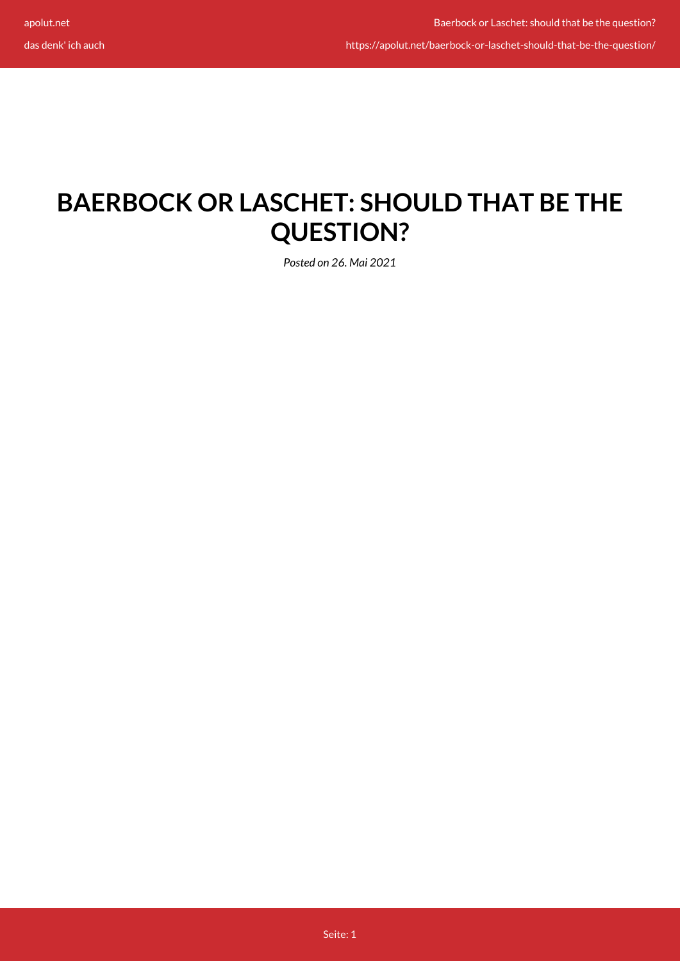https://apolut.net/baerbock-or-laschet-should-that-be-the-question/

## **BAERBOCK OR LASCHET: SHOULD THAT BE THE QUESTION?**

*Posted on 26. Mai 2021*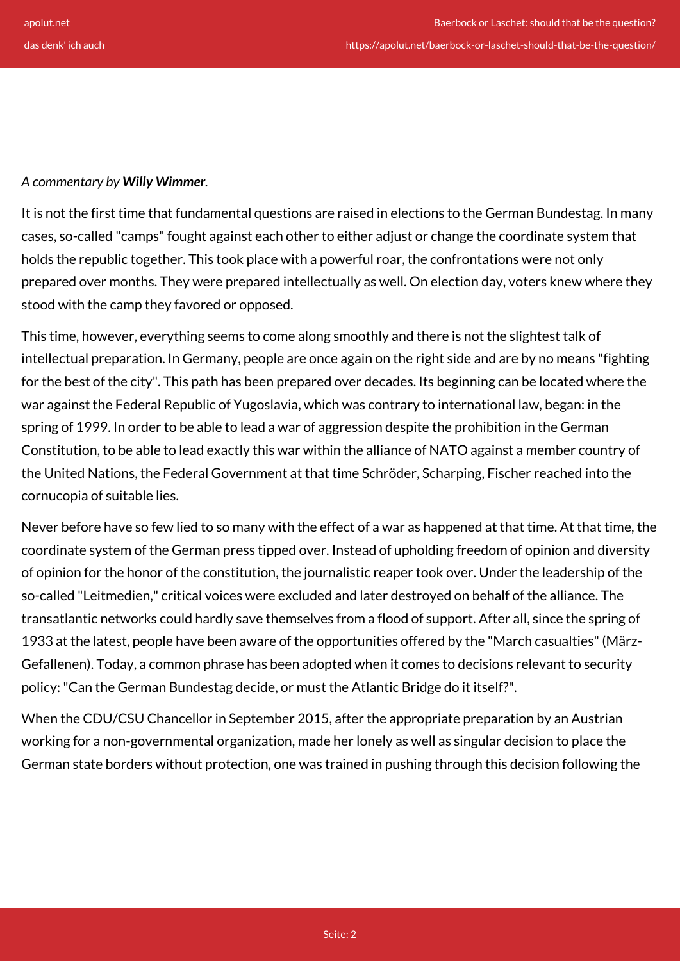## *A commentary by Willy Wimmer.*

It is not the first time that fundamental questions are raised in elections to the German Bundestag. In many cases, so-called "camps" fought against each other to either adjust or change the coordinate system that holds the republic together. This took place with a powerful roar, the confrontations were not only prepared over months. They were prepared intellectually as well. On election day, voters knew where they stood with the camp they favored or opposed.

This time, however, everything seems to come along smoothly and there is not the slightest talk of intellectual preparation. In Germany, people are once again on the right side and are by no means "fighting for the best of the city". This path has been prepared over decades. Its beginning can be located where the war against the Federal Republic of Yugoslavia, which was contrary to international law, began: in the spring of 1999. In order to be able to lead a war of aggression despite the prohibition in the German Constitution, to be able to lead exactly this war within the alliance of NATO against a member country of the United Nations, the Federal Government at that time Schröder, Scharping, Fischer reached into the cornucopia of suitable lies.

Never before have so few lied to so many with the effect of a war as happened at that time. At that time, the coordinate system of the German press tipped over. Instead of upholding freedom of opinion and diversity of opinion for the honor of the constitution, the journalistic reaper took over. Under the leadership of the so-called "Leitmedien," critical voices were excluded and later destroyed on behalf of the alliance. The transatlantic networks could hardly save themselves from a flood of support. After all, since the spring of 1933 at the latest, people have been aware of the opportunities offered by the "March casualties" (März-Gefallenen). Today, a common phrase has been adopted when it comes to decisions relevant to security policy: "Can the German Bundestag decide, or must the Atlantic Bridge do it itself?".

When the CDU/CSU Chancellor in September 2015, after the appropriate preparation by an Austrian working for a non-governmental organization, made her lonely as well as singular decision to place the German state borders without protection, one was trained in pushing through this decision following the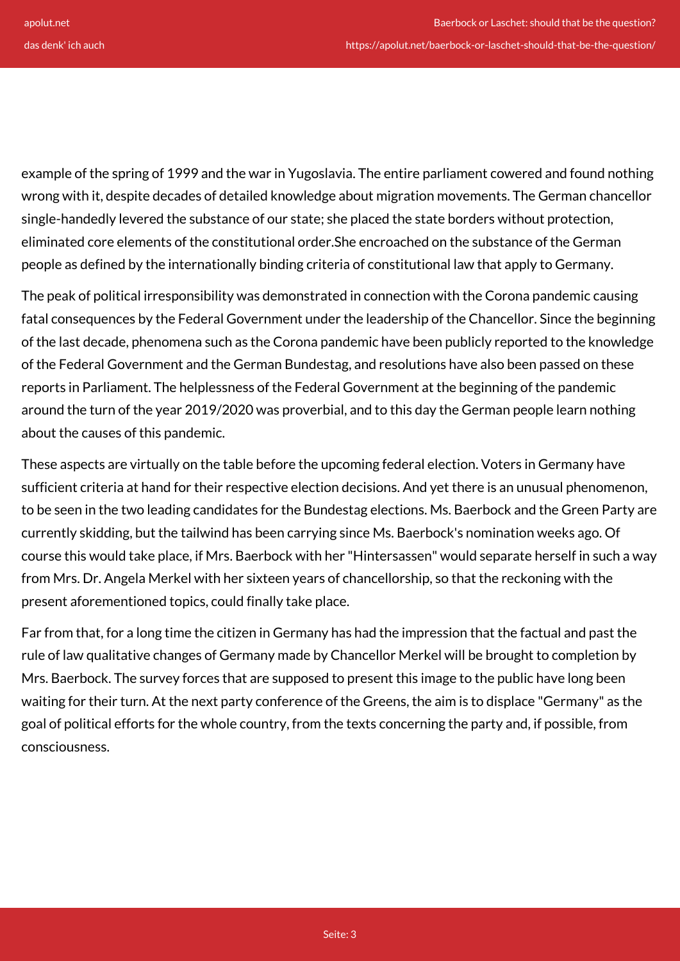example of the spring of 1999 and the war in Yugoslavia. The entire parliament cowered and found nothing wrong with it, despite decades of detailed knowledge about migration movements. The German chancellor single-handedly levered the substance of our state; she placed the state borders without protection, eliminated core elements of the constitutional order.She encroached on the substance of the German people as defined by the internationally binding criteria of constitutional law that apply to Germany.

The peak of political irresponsibility was demonstrated in connection with the Corona pandemic causing fatal consequences by the Federal Government under the leadership of the Chancellor. Since the beginning of the last decade, phenomena such as the Corona pandemic have been publicly reported to the knowledge of the Federal Government and the German Bundestag, and resolutions have also been passed on these reports in Parliament. The helplessness of the Federal Government at the beginning of the pandemic around the turn of the year 2019/2020 was proverbial, and to this day the German people learn nothing about the causes of this pandemic.

These aspects are virtually on the table before the upcoming federal election. Voters in Germany have sufficient criteria at hand for their respective election decisions. And yet there is an unusual phenomenon, to be seen in the two leading candidates for the Bundestag elections. Ms. Baerbock and the Green Party are currently skidding, but the tailwind has been carrying since Ms. Baerbock's nomination weeks ago. Of course this would take place, if Mrs. Baerbock with her "Hintersassen" would separate herself in such a way from Mrs. Dr. Angela Merkel with her sixteen years of chancellorship, so that the reckoning with the present aforementioned topics, could finally take place.

Far from that, for a long time the citizen in Germany has had the impression that the factual and past the rule of law qualitative changes of Germany made by Chancellor Merkel will be brought to completion by Mrs. Baerbock. The survey forces that are supposed to present this image to the public have long been waiting for their turn. At the next party conference of the Greens, the aim is to displace "Germany" as the goal of political efforts for the whole country, from the texts concerning the party and, if possible, from consciousness.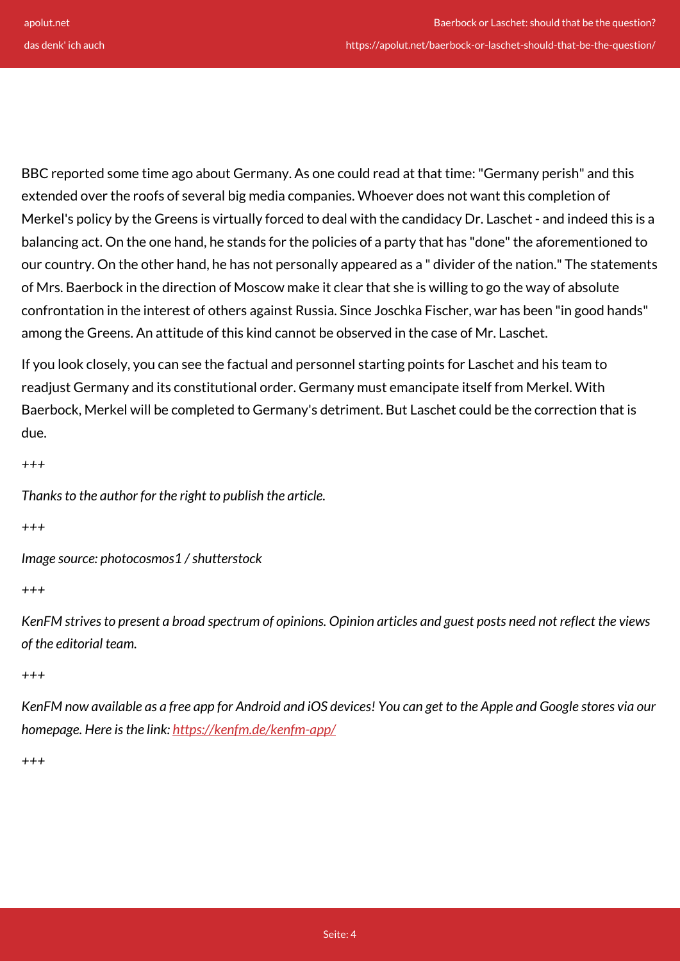BBC reported some time ago about Germany. As one could read at that time: "Germany perish" and this extended over the roofs of several big media companies. Whoever does not want this completion of Merkel's policy by the Greens is virtually forced to deal with the candidacy Dr. Laschet - and indeed this is a balancing act. On the one hand, he stands for the policies of a party that has "done" the aforementioned to our country. On the other hand, he has not personally appeared as a " divider of the nation." The statements of Mrs. Baerbock in the direction of Moscow make it clear that she is willing to go the way of absolute confrontation in the interest of others against Russia. Since Joschka Fischer, war has been "in good hands" among the Greens. An attitude of this kind cannot be observed in the case of Mr. Laschet.

If you look closely, you can see the factual and personnel starting points for Laschet and his team to readjust Germany and its constitutional order. Germany must emancipate itself from Merkel. With Baerbock, Merkel will be completed to Germany's detriment. But Laschet could be the correction that is due.

```
+++
```
*Thanks to the author for the right to publish the article.*

*+++*

*Image source: photocosmos1 / shutterstock*

*+++*

*KenFM strives to present a broad spectrum of opinions. Opinion articles and guest posts need not reflect the views of the editorial team.*

*+++*

*KenFM now available as a free app for Android and iOS devices! You can get to the Apple and Google stores via our homepage. Here is the link:<https://kenfm.de/kenfm-app/>*

*+++*